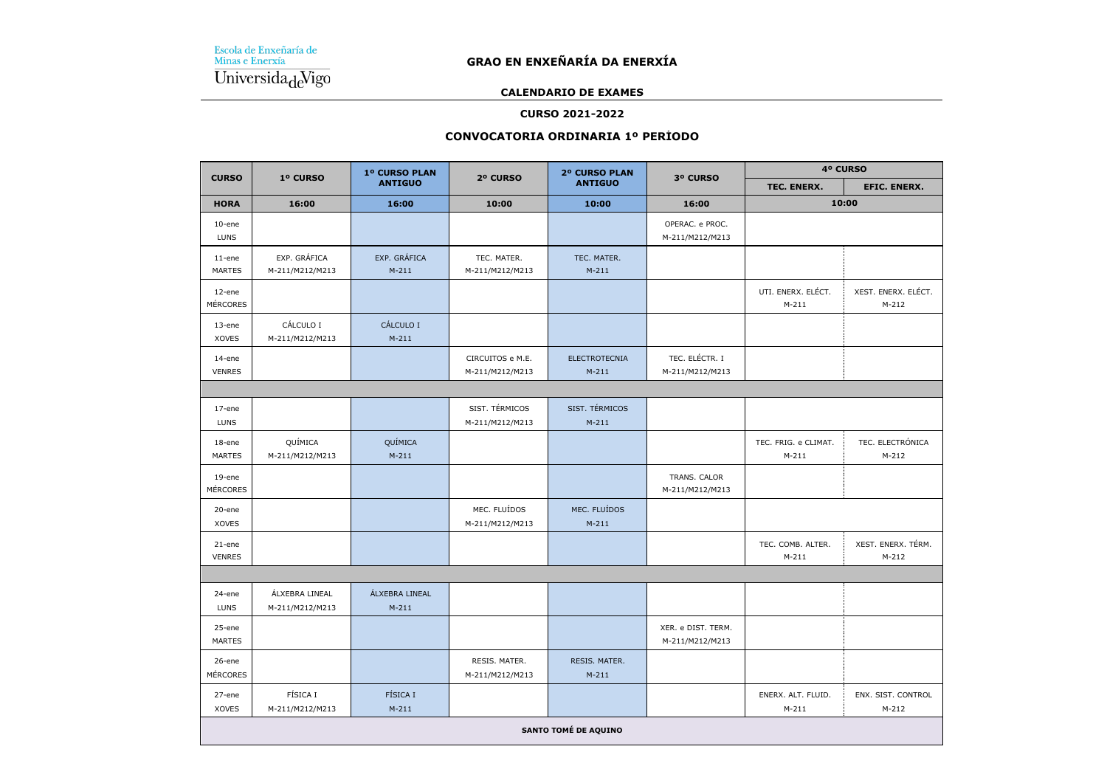#### **CALENDARIO DE EXAMES**

#### **CURSO 2021-2022**

## **CONVOCATORIA ORDINARIA 1º PERÍODO**

| <b>CURSO</b>                 | 1º CURSO                          | 1º CURSO PLAN             | 2º CURSO                            | 2º CURSO PLAN                   | 3º CURSO                              | 4º CURSO                        |                                |  |
|------------------------------|-----------------------------------|---------------------------|-------------------------------------|---------------------------------|---------------------------------------|---------------------------------|--------------------------------|--|
|                              |                                   | <b>ANTIGUO</b>            |                                     | <b>ANTIGUO</b>                  |                                       | TEC. ENERX.                     | EFIC. ENERX.                   |  |
| <b>HORA</b>                  | 16:00                             | 16:00                     | 10:00                               | 10:00                           | 16:00                                 | 10:00                           |                                |  |
| $10$ -ene<br><b>LUNS</b>     |                                   |                           |                                     |                                 | OPERAC. e PROC.<br>M-211/M212/M213    |                                 |                                |  |
| $11$ -ene<br><b>MARTES</b>   | EXP. GRÁFICA<br>M-211/M212/M213   | EXP. GRÁFICA<br>$M-211$   | TEC. MATER.<br>M-211/M212/M213      | TEC. MATER.<br>$M-211$          |                                       |                                 |                                |  |
| 12-ene<br><b>MÉRCORES</b>    |                                   |                           |                                     |                                 |                                       | UTI. ENERX. ELÉCT.<br>$M-211$   | XEST. ENERX. ELÉCT.<br>$M-212$ |  |
| 13-ene<br><b>XOVES</b>       | CÁLCULO I<br>M-211/M212/M213      | CÁLCULO I<br>$M-211$      |                                     |                                 |                                       |                                 |                                |  |
| 14-ene<br><b>VENRES</b>      |                                   |                           | CIRCUITOS e M.E.<br>M-211/M212/M213 | <b>ELECTROTECNIA</b><br>$M-211$ | TEC. ELÉCTR. I<br>M-211/M212/M213     |                                 |                                |  |
|                              |                                   |                           |                                     |                                 |                                       |                                 |                                |  |
| 17-ene<br>LUNS               |                                   |                           | SIST. TÉRMICOS<br>M-211/M212/M213   | SIST. TÉRMICOS<br>$M-211$       |                                       |                                 |                                |  |
| 18-ene<br><b>MARTES</b>      | QUÍMICA<br>M-211/M212/M213        | QUÍMICA<br>$M-211$        |                                     |                                 |                                       | TEC. FRIG. e CLIMAT.<br>$M-211$ | TEC. ELECTRÓNICA<br>$M-212$    |  |
| $19$ -ene<br><b>MÉRCORES</b> |                                   |                           |                                     |                                 | TRANS. CALOR<br>M-211/M212/M213       |                                 |                                |  |
| 20-ene<br><b>XOVES</b>       |                                   |                           | MEC. FLUÍDOS<br>M-211/M212/M213     | MEC. FLUÍDOS<br>$M-211$         |                                       |                                 |                                |  |
| 21-ene<br><b>VENRES</b>      |                                   |                           |                                     |                                 |                                       | TEC. COMB. ALTER.<br>$M-211$    | XEST. ENERX. TÉRM.<br>$M-212$  |  |
|                              |                                   |                           |                                     |                                 |                                       |                                 |                                |  |
| 24-ene<br>LUNS               | ÁLXEBRA LINEAL<br>M-211/M212/M213 | ÁLXEBRA LINEAL<br>$M-211$ |                                     |                                 |                                       |                                 |                                |  |
| 25-ene<br><b>MARTES</b>      |                                   |                           |                                     |                                 | XER. e DIST. TERM.<br>M-211/M212/M213 |                                 |                                |  |
| 26-ene<br><b>MÉRCORES</b>    |                                   |                           | RESIS. MATER.<br>M-211/M212/M213    | RESIS. MATER.<br>$M-211$        |                                       |                                 |                                |  |
| 27-ene<br><b>XOVES</b>       | FÍSICA I<br>M-211/M212/M213       | FÍSICA I<br>$M-211$       |                                     |                                 |                                       | ENERX. ALT. FLUID.<br>$M-211$   | ENX. SIST. CONTROL<br>$M-212$  |  |
| <b>SANTO TOMÉ DE AQUINO</b>  |                                   |                           |                                     |                                 |                                       |                                 |                                |  |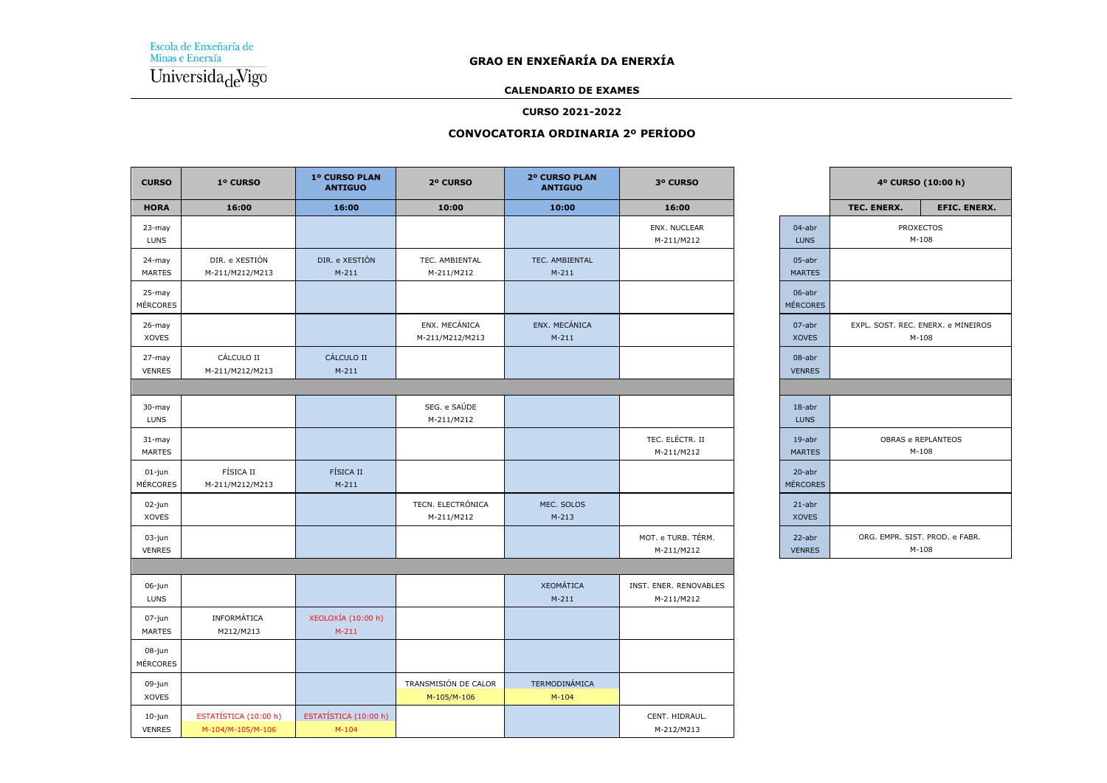## **CALENDARIO DE EXAMES**

### **CURSO 2021-2022**

## **CONVOCATORIA ORDINARIA 2º PERÍODO**

| <b>CURSO</b>                 | 1º CURSO                                   | 1º CURSO PLAN<br><b>ANTIGUO</b>  | 2º CURSO                            | 2º CURSO PLAN<br><b>ANTIGUO</b>   | 3º CURSO                             |                            |             | 4º CURSO (10:00 h)                            |
|------------------------------|--------------------------------------------|----------------------------------|-------------------------------------|-----------------------------------|--------------------------------------|----------------------------|-------------|-----------------------------------------------|
| <b>HORA</b>                  | 16:00                                      | 16:00                            | 10:00                               | 10:00                             | 16:00                                |                            | TEC. ENERX. | <b>EFIC. ENERX.</b>                           |
| 23-may<br><b>LUNS</b>        |                                            |                                  |                                     |                                   | ENX. NUCLEAR<br>M-211/M212           | 04-abr<br><b>LUNS</b>      |             | <b>PROXECTOS</b><br>$M-108$                   |
| 24-may<br><b>MARTES</b>      | DIR. e XESTIÓN<br>M-211/M212/M213          | DIR. e XESTIÓN<br>$M-211$        | TEC. AMBIENTAL<br>M-211/M212        | TEC. AMBIENTAL<br>$M-211$         |                                      | 05-abr<br><b>MARTES</b>    |             |                                               |
| 25-may<br><b>MÉRCORES</b>    |                                            |                                  |                                     |                                   |                                      | 06-abr<br><b>MÉRCORES</b>  |             |                                               |
| $26$ -may<br><b>XOVES</b>    |                                            |                                  | ENX. MECÁNICA<br>M-211/M212/M213    | ENX. MECÁNICA<br>$M-211$          |                                      | 07-abr<br><b>XOVES</b>     |             | EXPL. SOST. REC. ENERX. e MINEIROS<br>$M-108$ |
| 27-may<br><b>VENRES</b>      | CÁLCULO II<br>M-211/M212/M213              | CÁLCULO II<br>$M-211$            |                                     |                                   |                                      | 08-abr<br><b>VENRES</b>    |             |                                               |
|                              |                                            |                                  |                                     |                                   |                                      |                            |             |                                               |
| 30-may<br>LUNS               |                                            |                                  | SEG. e SAÚDE<br>M-211/M212          |                                   |                                      | $18$ -abr<br><b>LUNS</b>   |             |                                               |
| $31 -$ may<br><b>MARTES</b>  |                                            |                                  |                                     |                                   | TEC. ELÉCTR. II<br>M-211/M212        | $19$ -abr<br><b>MARTES</b> |             | OBRAS e REPLANTEOS<br>$M-108$                 |
| $01$ -jun<br><b>MÉRCORES</b> | FÍSICA II<br>M-211/M212/M213               | FÍSICA II<br>$M-211$             |                                     |                                   |                                      | 20-abr<br><b>MÉRCORES</b>  |             |                                               |
| 02-jun<br><b>XOVES</b>       |                                            |                                  | TECN. ELECTRÓNICA<br>M-211/M212     | MEC. SOLOS<br>$M-213$             |                                      | $21$ -abr<br><b>XOVES</b>  |             |                                               |
| 03-jun<br><b>VENRES</b>      |                                            |                                  |                                     |                                   | MOT. e TURB. TÉRM.<br>M-211/M212     | 22-abr<br><b>VENRES</b>    |             | ORG. EMPR. SIST. PROD. e FABR.<br>$M-108$     |
|                              |                                            |                                  |                                     |                                   |                                      |                            |             |                                               |
| 06-jun<br><b>LUNS</b>        |                                            |                                  |                                     | <b>XEOMÁTICA</b><br>$M-211$       | INST. ENER. RENOVABLES<br>M-211/M212 |                            |             |                                               |
| 07-jun<br>MARTES             | INFORMÁTICA<br>M212/M213                   | XEOLOXÍA (10:00 h)<br>$M-211$    |                                     |                                   |                                      |                            |             |                                               |
| 08-jun<br>MÉRCORES           |                                            |                                  |                                     |                                   |                                      |                            |             |                                               |
| 09-jun<br><b>XOVES</b>       |                                            |                                  | TRANSMISIÓN DE CALOR<br>M-105/M-106 | <b>TERMODINÁMICA</b><br>$M - 104$ |                                      |                            |             |                                               |
| 10-jun<br><b>VENRES</b>      | ESTATÍSTICA (10:00 h)<br>M-104/M-105/M-106 | ESTATÍSTICA (10:00 h)<br>$M-104$ |                                     |                                   | CENT. HIDRAUL.<br>M-212/M213         |                            |             |                                               |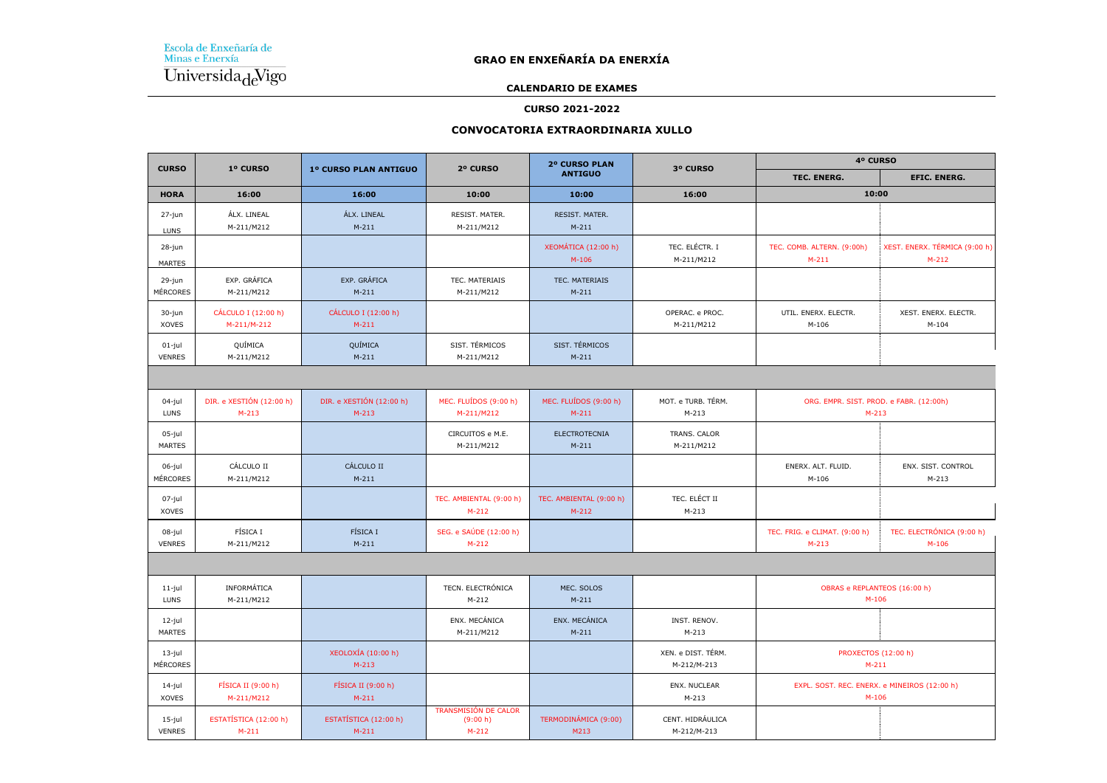## **GRAO EN ENXEÑARÍA DA ENERXÍA**

#### **CALENDARIO DE EXAMES**

#### **CURSO 2021-2022**

#### **CONVOCATORIA EXTRAORDINARIA XULLO**

| <b>CURSO</b>               | 1º CURSO                            |                                      | 2º CURSO                                    | 2º CURSO PLAN                      | 3º CURSO                          | 4º CURSO                                                |                                          |  |
|----------------------------|-------------------------------------|--------------------------------------|---------------------------------------------|------------------------------------|-----------------------------------|---------------------------------------------------------|------------------------------------------|--|
|                            |                                     | 1º CURSO PLAN ANTIGUO                |                                             | <b>ANTIGUO</b>                     |                                   | TEC. ENERG.                                             | <b>EFIC. ENERG.</b>                      |  |
| <b>HORA</b>                | 16:00                               | 16:00                                | 10:00                                       | 10:00                              | 16:00                             | 10:00                                                   |                                          |  |
| 27-jun<br><b>LUNS</b>      | ÁLX. LINEAL<br>M-211/M212           | ÁLX. LINEAL<br>$M-211$               | RESIST. MATER.<br>M-211/M212                | RESIST. MATER.<br>$M-211$          |                                   |                                                         |                                          |  |
| 28-jun<br><b>MARTES</b>    |                                     |                                      |                                             | XEOMÁTICA (12:00 h)<br>$M-106$     | TEC. ELÉCTR. I<br>M-211/M212      | TEC. COMB. ALTERN. (9:00h)<br>$M-211$                   | XEST. ENERX. TÉRMICA (9:00 h)<br>$M-212$ |  |
| 29-jun<br><b>MÉRCORES</b>  | EXP. GRÁFICA<br>M-211/M212          | EXP. GRÁFICA<br>$M-211$              | TEC. MATERIAIS<br>M-211/M212                | TEC. MATERIAIS<br>$M-211$          |                                   |                                                         |                                          |  |
| 30-jun<br>XOVES            | CÁLCULO I (12:00 h)<br>M-211/M-212  | CÁLCULO I (12:00 h)<br>$M-211$       |                                             |                                    | OPERAC. e PROC.<br>M-211/M212     | UTIL. ENERX. ELECTR.<br>$M-106$                         | XEST. ENERX. ELECTR.<br>$M-104$          |  |
| $01$ -jul<br><b>VENRES</b> | QUÍMICA<br>M-211/M212               | QUÍMICA<br>$M-211$                   | SIST. TÉRMICOS<br>M-211/M212                | SIST. TÉRMICOS<br>$M-211$          |                                   |                                                         |                                          |  |
|                            |                                     |                                      |                                             |                                    |                                   |                                                         |                                          |  |
| 04-jul<br><b>LUNS</b>      | DIR. e XESTIÓN (12:00 h)<br>$M-213$ | DIR. e XESTIÓN (12:00 h)<br>$M-213$  | MEC. FLUÍDOS (9:00 h)<br>M-211/M212         | MEC. FLUÍDOS (9:00 h)<br>$M-211$   | MOT. e TURB. TÉRM.<br>$M-213$     | ORG. EMPR. SIST. PROD. e FABR. (12:00h)<br>$M-213$      |                                          |  |
| 05-jul<br><b>MARTES</b>    |                                     |                                      | CIRCUITOS e M.E.<br>M-211/M212              | <b>ELECTROTECNIA</b><br>$M-211$    | TRANS. CALOR<br>M-211/M212        |                                                         |                                          |  |
| 06-jul<br>MÉRCORES         | CÁLCULO II<br>M-211/M212            | CÁLCULO II<br>$M-211$                |                                             |                                    |                                   | ENERX. ALT. FLUID.<br>$M-106$                           | ENX. SIST. CONTROL<br>$M-213$            |  |
| 07-jul<br>XOVES            |                                     |                                      | TEC. AMBIENTAL (9:00 h)<br>$M-212$          | TEC. AMBIENTAL (9:00 h)<br>$M-212$ | TEC. ELÉCT II<br>$M-213$          |                                                         |                                          |  |
| 08-jul<br><b>VENRES</b>    | FÍSICA I<br>M-211/M212              | <b>FÍSICA I</b><br>$M-211$           | SEG. e SAÚDE (12:00 h)<br>$M-212$           |                                    |                                   | TEC. FRIG. e CLIMAT. (9:00 h)<br>$M-213$                | TEC. ELECTRÓNICA (9:00 h)<br>$M-106$     |  |
|                            |                                     |                                      |                                             |                                    |                                   |                                                         |                                          |  |
| $11-jul$<br><b>LUNS</b>    | INFORMÁTICA<br>M-211/M212           |                                      | TECN. ELECTRÓNICA<br>$M-212$                | MEC. SOLOS<br>$M-211$              |                                   | OBRAS e REPLANTEOS (16:00 h)<br>$M-106$                 |                                          |  |
| 12-jul<br><b>MARTES</b>    |                                     |                                      | ENX. MECÁNICA<br>M-211/M212                 | ENX. MECÁNICA<br>$M-211$           | INST. RENOV.<br>$M-213$           |                                                         |                                          |  |
| 13-jul<br>MÉRCORES         |                                     | <b>XEOLOXÍA</b> (10:00 h)<br>$M-213$ |                                             |                                    | XEN. e DIST. TÉRM.<br>M-212/M-213 | PROXECTOS (12:00 h)<br>$M-211$                          |                                          |  |
| 14-jul<br><b>XOVES</b>     | FÍSICA II (9:00 h)<br>M-211/M212    | FÍSICA II (9:00 h)<br>$M-211$        |                                             |                                    | ENX. NUCLEAR<br>$M-213$           | EXPL. SOST. REC. ENERX. e MINEIROS (12:00 h)<br>$M-106$ |                                          |  |
| 15-jul<br><b>VENRES</b>    | ESTATÍSTICA (12:00 h)<br>$M-211$    | ESTATÍSTICA (12:00 h)<br>$M-211$     | TRANSMISIÓN DE CALOR<br>(9:00 h)<br>$M-212$ | TERMODINÁMICA (9:00)<br>M213       | CENT. HIDRÁULICA<br>M-212/M-213   |                                                         |                                          |  |